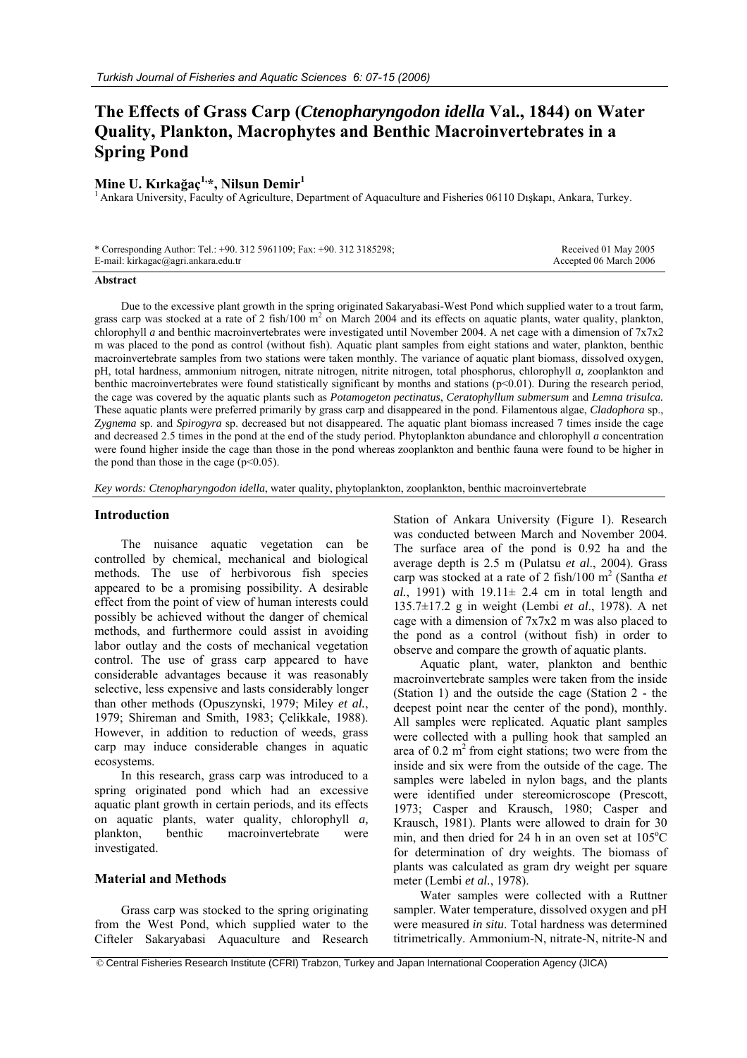# **The Effects of Grass Carp (***Ctenopharyngodon idella* **Val., 1844) on Water Quality, Plankton, Macrophytes and Benthic Macroinvertebrates in a Spring Pond**

## **Mine U. Kırkağaç1,\*, Nilsun Demir1**

1 Ankara University, Faculty of Agriculture, Department of Aquaculture and Fisheries 06110 Dışkapı, Ankara, Turkey.

| * Corresponding Author: Tel.: +90. 312 5961109; Fax: +90. 312 3185298; | Received 01 May 2005   |
|------------------------------------------------------------------------|------------------------|
| E-mail: kirkagac@agri.ankara.edu.tr                                    | Accepted 06 March 2006 |

#### **Abstract**

Due to the excessive plant growth in the spring originated Sakaryabasi-West Pond which supplied water to a trout farm, grass carp was stocked at a rate of 2 fish/100  $\text{m}^2$  on March 2004 and its effects on aquatic plants, water quality, plankton, chlorophyll *a* and benthic macroinvertebrates were investigated until November 2004. A net cage with a dimension of 7x7x2 m was placed to the pond as control (without fish). Aquatic plant samples from eight stations and water, plankton, benthic macroinvertebrate samples from two stations were taken monthly. The variance of aquatic plant biomass, dissolved oxygen, pH, total hardness, ammonium nitrogen, nitrate nitrogen, nitrite nitrogen, total phosphorus, chlorophyll *a,* zooplankton and benthic macroinvertebrates were found statistically significant by months and stations (p<0.01). During the research period, the cage was covered by the aquatic plants such as *Potamogeton pectinatus*, *Ceratophyllum submersum* and *Lemna trisulca.* These aquatic plants were preferred primarily by grass carp and disappeared in the pond. Filamentous algae, *Cladophora* sp., Z*ygnema* sp. and *Spirogyra* sp. decreased but not disappeared. The aquatic plant biomass increased 7 times inside the cage and decreased 2.5 times in the pond at the end of the study period. Phytoplankton abundance and chlorophyll *a* concentration were found higher inside the cage than those in the pond whereas zooplankton and benthic fauna were found to be higher in the pond than those in the cage  $(p<0.05)$ .

*Key words: Ctenopharyngodon idella*, water quality, phytoplankton, zooplankton, benthic macroinvertebrate

### **Introduction**

The nuisance aquatic vegetation can be controlled by chemical, mechanical and biological methods. The use of herbivorous fish species appeared to be a promising possibility. A desirable effect from the point of view of human interests could possibly be achieved without the danger of chemical methods, and furthermore could assist in avoiding labor outlay and the costs of mechanical vegetation control. The use of grass carp appeared to have considerable advantages because it was reasonably selective, less expensive and lasts considerably longer than other methods (Opuszynski, 1979; Miley *et al.*, 1979; Shireman and Smith, 1983; Çelikkale, 1988). However, in addition to reduction of weeds, grass carp may induce considerable changes in aquatic ecosystems.

In this research, grass carp was introduced to a spring originated pond which had an excessive aquatic plant growth in certain periods, and its effects on aquatic plants, water quality, chlorophyll *a,* plankton, benthic macroinvertebrate were investigated.

#### **Material and Methods**

Grass carp was stocked to the spring originating from the West Pond, which supplied water to the Cifteler Sakaryabasi Aquaculture and Research

Station of Ankara University (Figure 1). Research was conducted between March and November 2004. The surface area of the pond is 0.92 ha and the average depth is 2.5 m (Pulatsu *et al*., 2004). Grass carp was stocked at a rate of 2 fish/100 m<sup>2</sup> (Santha et *al.*, 1991) with  $19.11 \pm 2.4$  cm in total length and 135.7±17.2 g in weight (Lembi *et al*., 1978). A net cage with a dimension of 7x7x2 m was also placed to the pond as a control (without fish) in order to observe and compare the growth of aquatic plants.

Aquatic plant, water, plankton and benthic macroinvertebrate samples were taken from the inside (Station 1) and the outside the cage (Station 2 - the deepest point near the center of the pond), monthly. All samples were replicated. Aquatic plant samples were collected with a pulling hook that sampled an area of  $0.2$  m<sup>2</sup> from eight stations; two were from the inside and six were from the outside of the cage. The samples were labeled in nylon bags, and the plants were identified under stereomicroscope (Prescott, 1973; Casper and Krausch, 1980; Casper and Krausch, 1981). Plants were allowed to drain for 30 min, and then dried for 24 h in an oven set at  $105^{\circ}$ C for determination of dry weights. The biomass of plants was calculated as gram dry weight per square meter (Lembi *et al.*, 1978).

Water samples were collected with a Ruttner sampler. Water temperature, dissolved oxygen and pH were measured *in situ*. Total hardness was determined titrimetrically. Ammonium-N, nitrate-N, nitrite-N and

© Central Fisheries Research Institute (CFRI) Trabzon, Turkey and Japan International Cooperation Agency (JICA)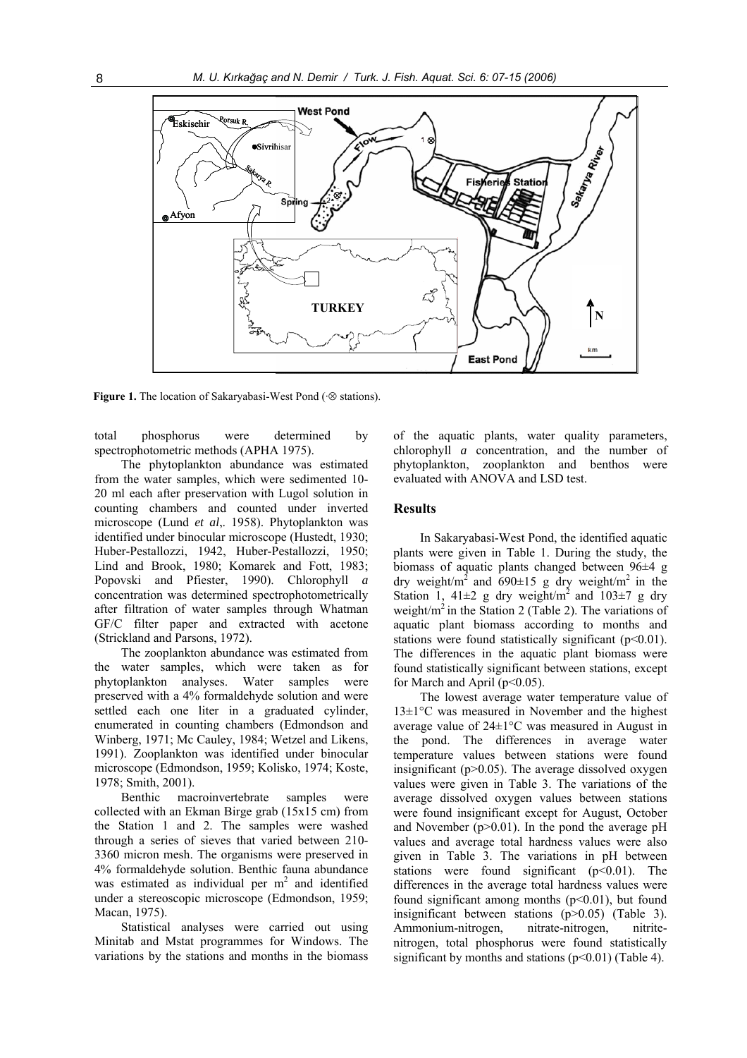

**Figure 1.** The location of Sakaryabasi-West Pond (·⊗ stations).

total phosphorus were determined by spectrophotometric methods (APHA 1975).

The phytoplankton abundance was estimated from the water samples, which were sedimented 10- 20 ml each after preservation with Lugol solution in counting chambers and counted under inverted microscope (Lund *et al*,. 1958). Phytoplankton was identified under binocular microscope (Hustedt, 1930; Huber-Pestallozzi, 1942, Huber-Pestallozzi, 1950; Lind and Brook, 1980; Komarek and Fott, 1983; Popovski and Pfiester, 1990). Chlorophyll *a*  concentration was determined spectrophotometrically after filtration of water samples through Whatman GF/C filter paper and extracted with acetone (Strickland and Parsons, 1972).

The zooplankton abundance was estimated from the water samples, which were taken as for phytoplankton analyses. Water samples were preserved with a 4% formaldehyde solution and were settled each one liter in a graduated cylinder, enumerated in counting chambers (Edmondson and Winberg, 1971; Mc Cauley, 1984; Wetzel and Likens, 1991). Zooplankton was identified under binocular microscope (Edmondson, 1959; Kolisko, 1974; Koste, 1978; Smith, 2001).

Benthic macroinvertebrate samples were collected with an Ekman Birge grab (15x15 cm) from the Station 1 and 2. The samples were washed through a series of sieves that varied between 210- 3360 micron mesh. The organisms were preserved in 4% formaldehyde solution. Benthic fauna abundance was estimated as individual per  $m<sup>2</sup>$  and identified under a stereoscopic microscope (Edmondson, 1959; Macan, 1975).

Statistical analyses were carried out using Minitab and Mstat programmes for Windows. The variations by the stations and months in the biomass

of the aquatic plants, water quality parameters, chlorophyll *a* concentration, and the number of phytoplankton, zooplankton and benthos were evaluated with ANOVA and LSD test.

## **Results**

In Sakaryabasi-West Pond, the identified aquatic plants were given in Table 1. During the study, the biomass of aquatic plants changed between 96±4 g dry weight/ $m^2$  and 690 $\pm$ 15 g dry weight/ $m^2$  in the Station 1, 41 $\pm$ 2 g dry weight/m<sup>2</sup> and 103 $\pm$ 7 g dry weight/ $m<sup>2</sup>$  in the Station 2 (Table 2). The variations of aquatic plant biomass according to months and stations were found statistically significant ( $p<0.01$ ). The differences in the aquatic plant biomass were found statistically significant between stations, except for March and April ( $p<0.05$ ).

The lowest average water temperature value of 13±1°C was measured in November and the highest average value of 24±1°C was measured in August in the pond. The differences in average water temperature values between stations were found insignificant ( $p > 0.05$ ). The average dissolved oxygen values were given in Table 3. The variations of the average dissolved oxygen values between stations were found insignificant except for August, October and November  $(p>0.01)$ . In the pond the average pH values and average total hardness values were also given in Table 3. The variations in pH between stations were found significant  $(p<0.01)$ . The differences in the average total hardness values were found significant among months  $(p<0.01)$ , but found insignificant between stations (p>0.05) (Table 3). Ammonium-nitrogen, nitrate-nitrogen, nitritenitrogen, total phosphorus were found statistically significant by months and stations  $(p<0.01)$  (Table 4).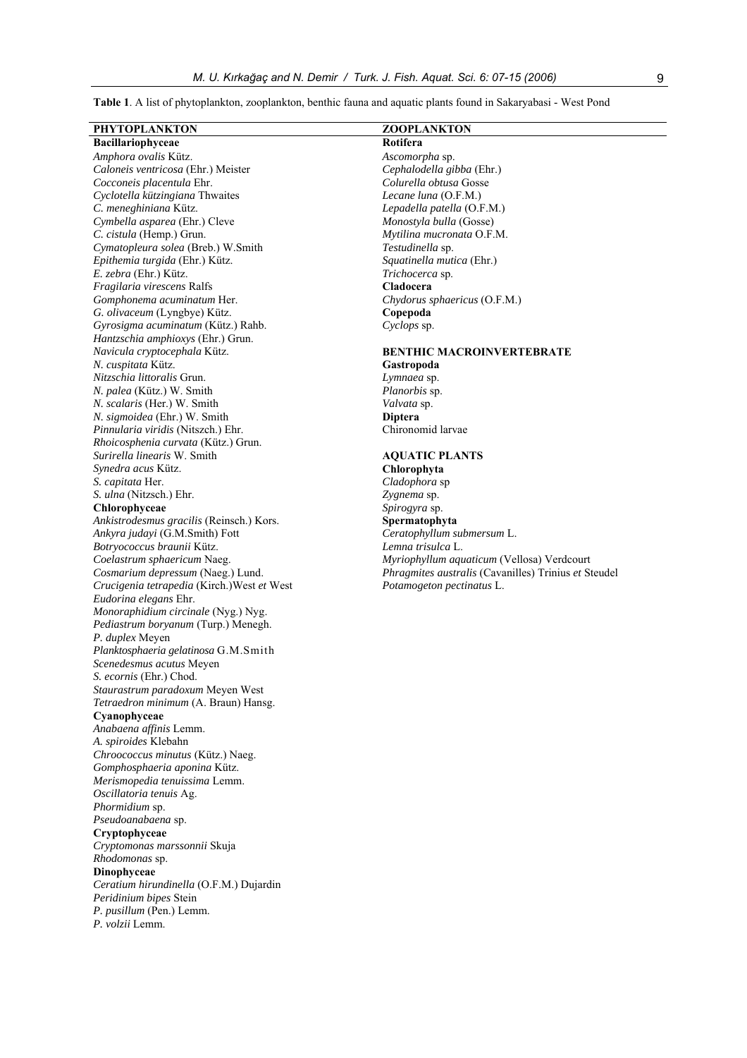**Table 1**. A list of phytoplankton, zooplankton, benthic fauna and aquatic plants found in Sakaryabasi - West Pond

| PHYTOPLANKTON                                               | ZOOPLANKTON                                          |
|-------------------------------------------------------------|------------------------------------------------------|
| Bacillariophyceae                                           | Rotifera                                             |
| Amphora ovalis Kütz.                                        | Ascomorpha sp.                                       |
| Caloneis ventricosa (Ehr.) Meister                          | Cephalodella gibba (Ehr.)                            |
| Cocconeis placentula Ehr.                                   | Colurella obtusa Gosse                               |
| Cyclotella kützingiana Thwaites                             | Lecane luna (O.F.M.)                                 |
| C. meneghiniana Kütz.                                       | Lepadella patella (O.F.M.)                           |
| Cymbella asparea (Ehr.) Cleve                               | Monostyla bulla (Gosse)                              |
| C. cistula (Hemp.) Grun.                                    | Mytilina mucronata O.F.M.                            |
| Cymatopleura solea (Breb.) W.Smith                          | Testudinella sp.                                     |
| Epithemia turgida (Ehr.) Kütz.                              | Squatinella mutica (Ehr.)                            |
| E. zebra (Ehr.) Kütz.                                       | Trichocerca sp.                                      |
| Fragilaria virescens Ralfs                                  | Cladocera                                            |
| Gomphonema acuminatum Her.                                  | Chydorus sphaericus (O.F.M.)                         |
| G. olivaceum (Lyngbye) Kütz.                                | Copepoda                                             |
| Gyrosigma acuminatum (Kütz.) Rahb.                          | Cyclops sp.                                          |
| Hantzschia amphioxys (Ehr.) Grun.                           |                                                      |
| Navicula cryptocephala Kütz.                                | <b>BENTHIC MACROINVERTEBRATE</b>                     |
| N. cuspitata Kütz.                                          | Gastropoda                                           |
| Nitzschia littoralis Grun.                                  | Lymnaea sp.                                          |
| N. palea (Kütz.) W. Smith                                   | Planorbis sp.                                        |
| N. scalaris (Her.) W. Smith<br>N. sigmoidea (Ehr.) W. Smith | Valvata sp.                                          |
| Pinnularia viridis (Nitszch.) Ehr.                          | <b>Diptera</b><br>Chironomid larvae                  |
| Rhoicosphenia curvata (Kütz.) Grun.                         |                                                      |
| Surirella linearis W. Smith                                 | <b>AQUATIC PLANTS</b>                                |
| Synedra acus Kütz.                                          | Chlorophyta                                          |
| S. capitata Her.                                            | Cladophora sp                                        |
| S. ulna (Nitzsch.) Ehr.                                     | Zygnema sp.                                          |
| Chlorophyceae                                               | Spirogyra sp.                                        |
| Ankistrodesmus gracilis (Reinsch.) Kors.                    | Spermatophyta                                        |
| Ankyra judayi (G.M.Smith) Fott                              | Ceratophyllum submersum L.                           |
| Botryococcus braunii Kütz.                                  | Lemna trisulca L.                                    |
| Coelastrum sphaericum Naeg.                                 | Myriophyllum aquaticum (Vellosa) Verdcourt           |
| Cosmarium depressum (Naeg.) Lund.                           | Phragmites australis (Cavanilles) Trinius et Steudel |
| Crucigenia tetrapedia (Kirch.) West et West                 | Potamogeton pectinatus L.                            |
| Eudorina elegans Ehr.                                       |                                                      |
| Monoraphidium circinale (Nyg.) Nyg.                         |                                                      |
| Pediastrum boryanum (Turp.) Menegh.                         |                                                      |
| P. duplex Meyen                                             |                                                      |
| Planktosphaeria gelatinosa G.M.Smith                        |                                                      |
| Scenedesmus acutus Meyen                                    |                                                      |
| <i>S. ecornis</i> (Ehr.) Chod.                              |                                                      |
| Staurastrum paradoxum Meyen West                            |                                                      |
| Tetraedron minimum (A. Braun) Hansg.<br>Cyanophyceae        |                                                      |
| Anabaena affinis Lemm.                                      |                                                      |
| A. spiroides Klebahn                                        |                                                      |
| Chroococcus minutus (Kütz.) Naeg.                           |                                                      |
| Gomphosphaeria aponina Kütz.                                |                                                      |
| Merismopedia tenuissima Lemm.                               |                                                      |
| Oscillatoria tenuis Ag.                                     |                                                      |
| Phormidium sp.                                              |                                                      |
| Pseudoanabaena sp.                                          |                                                      |
| Cryptophyceae                                               |                                                      |
| Cryptomonas marssonnii Skuja                                |                                                      |
| Rhodomonas sp.                                              |                                                      |
| Dinophyceae                                                 |                                                      |
| Ceratium hirundinella (O.F.M.) Dujardin                     |                                                      |
| Peridinium bipes Stein                                      |                                                      |
| P. pusillum (Pen.) Lemm.                                    |                                                      |

*P. volzii* Lemm.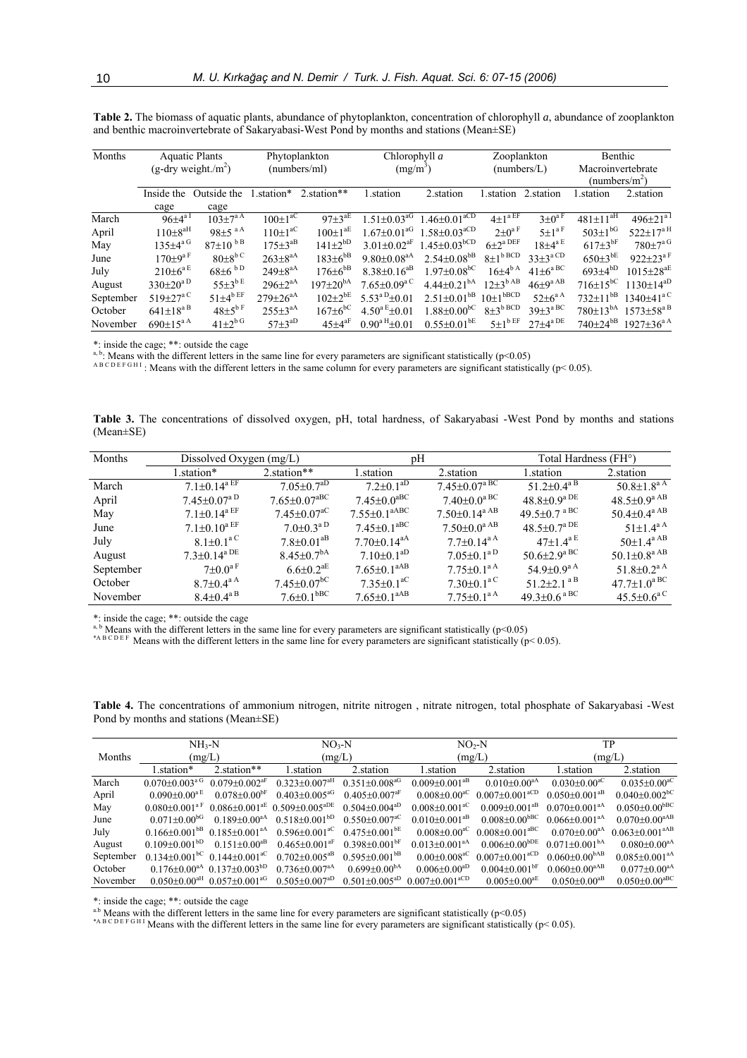| Months    | <b>Aquatic Plants</b><br>$(g-dry weight/m^2)$ |                           | Phytoplankton<br>(numbers/ml) |                          | Chlorophyll a<br>$(mg/m^3)$    |                                | Zooplankton<br>(numbers/L)         |                                    | Benthic<br>Macroinvertebrate<br>(numbers/m <sup>2</sup> ) |                                     |
|-----------|-----------------------------------------------|---------------------------|-------------------------------|--------------------------|--------------------------------|--------------------------------|------------------------------------|------------------------------------|-----------------------------------------------------------|-------------------------------------|
|           | Inside the                                    | Outside the               | 1.station*                    | 2. station**             | l.station                      | 2. station                     | station                            | 2.station                          | station.                                                  | 2. station                          |
|           | cage                                          | cage                      |                               |                          |                                |                                |                                    |                                    |                                                           |                                     |
| March     | $96+4^{a}$ <sup>I</sup>                       | $103 \pm 7^{a A}$         | $100 \pm 1^{a\overline{C}}$   | $97 \pm 3^{\mathrm{aE}}$ | $1.51 \pm 0.03$ <sup>aG</sup>  | $1.46 \pm 0.01$ <sup>aCD</sup> | $4\pm1$ <sup>a EF</sup>            | $3+0^{\mathrm{a F}}$               | $481 \pm 11^{aH}$                                         | $496 \pm 21$ <sup>a I</sup>         |
| April     | $110+8^{\text{aH}}$                           | $98+5$ <sup>a A</sup>     | $110\pm1^{\mathrm{aC}}$       | $100+1^{\text{aE}}$      | $1.67 \pm 0.01$ <sup>aG</sup>  | $1.58 \pm 0.03$ <sup>aCD</sup> | $2+0^{\mathrm{a F}}$               | $5+1^{\text{a F}}$                 | $503 \pm 1^{bG}$                                          | $522 \pm 17^{\text{a H}}$           |
| May       | $135 \pm 4^{\text{a G}}$                      | $87{\pm}10^{bB}$          | $175 \pm 3^{aB}$              | $141\pm2^{bD}$           | $3.01 \pm 0.02$ <sup>aF</sup>  | $1.45 \pm 0.03$ <sup>bCD</sup> | $6\pm2^{\mathrm{a}\,\mathrm{DEF}}$ | $18\pm4^{\mathrm{a E}}$            | $617 \pm 3^{bF}$                                          | $780\pm7^{\mathrm{a}}$ <sup>G</sup> |
| June      | $170\pm9^{\mathrm{a F}}$                      | $80\pm8^{\mathrm{b C}}$   | $263 + 8^{\text{aA}}$         | $183 \pm 6^{bB}$         | $9.80 \pm 0.08$ <sup>aA</sup>  | $2.54 \pm 0.08$ <sup>bB</sup>  | $8\pm1$ <sup>b BCD</sup>           | $33\pm3^{\mathrm{a\,CD}}$          | $650 \pm 3^{bE}$                                          | $922 \pm 23^{\text{a F}}$           |
| July      | $210+6^{\mathrm{a E}}$                        | $68\pm6~^{b\,D}$          | $249 + 8^{aA}$                | $176 + 6^{bB}$           | $8.38 \pm 0.16$ <sup>aB</sup>  | $1.97 \pm 0.08$ <sup>bC</sup>  | $16\pm4^{b\,A}$                    | $41\pm6^{\mathrm{a\,BC}}$          | $693+4^{bD}$                                              | $1015 \pm 28$ <sup>aE</sup>         |
| August    | $330\pm20^{a\,D}$                             | $55\pm3^{\mathrm{bE}}$    | $296 \pm 2^{aA}$              | $197 \pm 20^{bA}$        | $7.65 \pm 0.09^{\mathrm{a C}}$ | $4.44 \pm 0.21$ <sup>bA</sup>  | $12+3^{b \text{AB}}$               | $46\pm9^{\mathrm{a}\,\mathrm{AB}}$ | $716\pm15^{bC}$                                           | $1130 \pm 14^{aD}$                  |
| September | $519 + 27^{\mathrm{a}}$                       | $51\pm4^{b \text{ EF}}$   | $279 \pm 26^{aA}$             | $102 \pm 2^{bE}$         | $5.53^{a}$ D <sub>±0.01</sub>  | $2.51 \pm 0.01$ <sup>bB</sup>  | $10\pm1$ <sup>bBCD</sup>           | $52+6^{\mathrm{a A}}$              | $732 \pm 11^{bB}$                                         | $1340 \pm 41$ <sup>a C</sup>        |
| October   | $641 \pm 18^{a}$ B                            | $48\pm5^{b}$ <sup>F</sup> | $255 + 3^{\text{aA}}$         | $167 \pm 6^{bC}$         | $4.50^{\text{a E}}\pm 0.01$    | $1.88 \pm 0.00^{bC}$           | $8\pm3^{\mathrm{b}\,\mathrm{BCD}}$ | $39 + 3^{\text{a BC}}$             | $780 \pm 13^{bA}$                                         | $1573 \pm 58^{a}$ <sup>B</sup>      |
| November  | $690+15^{a}$ <sup>A</sup>                     | $41\pm2^{b}$ <sup>G</sup> | $57\pm3^{aD}$                 | $45 + 4$ <sup>aF</sup>   | $0.90^{\text{a H}} \pm 0.01$   | $0.55 \pm 0.01$ <sup>bE</sup>  | $5\pm1$ <sup>b EF</sup>            | $27\pm4^{\mathrm{a\,DE}}$          | $740 \pm 24^{bB}$                                         | $1927 \pm 36^{\text{a A}}$          |

**Table 2.** The biomass of aquatic plants, abundance of phytoplankton, concentration of chlorophyll *a*, abundance of zooplankton and benthic macroinvertebrate of Sakaryabasi-West Pond by months and stations (Mean±SE)

\*: inside the cage; \*\*: outside the cage

<sup>a, b</sup>: Means with the different letters in the same line for every parameters are significant statistically (p<0.05)<br>  $A B C D E F G H I$ : Means with the different letters in the same column for every parameters are significant

**Table 3.** The concentrations of dissolved oxygen, pH, total hardness, of Sakaryabasi -West Pond by months and stations (Mean±SE)

| Months    | Dissolved Oxygen (mg/L)                   |                               | pΗ                             |                                    | Total Hardness (FH <sup>o</sup> )          |                                           |  |
|-----------|-------------------------------------------|-------------------------------|--------------------------------|------------------------------------|--------------------------------------------|-------------------------------------------|--|
|           | 1.station*                                | 2.station**                   | 2. station<br>1.station        |                                    | 1.station                                  | 2. station                                |  |
| March     | $7.1 \pm 0.14^{\text{a EF}}$              | $7.05 \pm 0.7$ <sup>aD</sup>  | $7.2 \pm 0.1$ <sup>aD</sup>    | $7.45 \pm 0.07^{\mathrm{a \, BC}}$ | 51.2 $\pm$ 0.4 <sup>a B</sup>              | $50.8 \pm 1.8^{\text{a A}}$               |  |
| April     | $7.45 \pm 0.07^{\mathrm{a}}$ <sup>D</sup> | $7.65 \pm 0.07^{\text{aBC}}$  | $7.45 \pm 0.0$ <sup>aBC</sup>  | $7.40{\pm}0.0^{\mathrm{a\,BC}}$    | $48.8 \pm 0.9^{\mathrm{a}\,\mathrm{DE}}$   | $48.5 \pm 0.9^{\mathrm{a} \mathrm{AB}}$   |  |
| May       | $7.1 \pm 0.14^{\text{a EF}}$              | $7.45 \pm 0.07^{\rm aC}$      | $7.55 \pm 0.1$ <sup>aABC</sup> | $7.50 \pm 0.14$ <sup>a AB</sup>    | 49.5 $\pm$ 0.7 a BC                        | $50.4 \pm 0.4^{\text{a AB}}$              |  |
| June      | $7.1 \pm 0.10^{\text{a EF}}$              | $7.0 \pm 0.3^{\text{a D}}$    | $7.45 \pm 0.1$ <sup>aBC</sup>  | $7.50\pm0.0^{\mathrm{a\,AB}}$      | $48.5 \pm 0.7^{\mathrm{a} \, \mathrm{DE}}$ | 51+1 $4^{a A}$                            |  |
| July      | $8.1 \pm 0.1^{\mathrm{a C}}$              | $7.8 + 0.01$ <sup>aB</sup>    | $7.70 \pm 0.14$ <sup>aA</sup>  | $77+0.14^{\text{a A}}$             | 47+14 <sup>a E</sup>                       | $50 \pm 1.4^{\text{a AB}}$                |  |
| August    | $7.3 \pm 0.14$ <sup>a DE</sup>            | $8.45 \pm 0.7$ <sup>bA</sup>  | $7.10\pm0.1^{aD}$              | $7.05 \pm 0.1^{\text{a D}}$        | $50.6 \pm 2.9^{\mathrm{a \, BC}}$          | $50.1 \pm 0.8^{\text{a AB}}$              |  |
| September | $7\pm0.0^{\mathrm{a F}}$                  | $6.6 \pm 0.2^{\text{aE}}$     | $7.65 \pm 0.1$ <sup>aAB</sup>  | $7.75 \pm 0.1^{\text{a A}}$        | 54.9 $\pm$ 0.9 <sup>a A</sup>              | $51.8 \pm 0.2^{\text{a A}}$               |  |
| October   | $8.7 \pm 0.4^{\mathrm{a}}$ A              | $7.45 \pm 0.07$ <sup>bC</sup> | $7.35 \pm 0.1$ <sup>aC</sup>   | $7.30\pm0.1^{\mathrm{a C}}$        | 51.2 $\pm$ 2.1 <sup>aB</sup>               | $47.7 \pm 1.0^{\mathrm{a} \,\mathrm{BC}}$ |  |
| November  | $8.4 \pm 0.4^{\mathrm{a}}$ <sup>B</sup>   | $7.6 \pm 0.1$ <sup>bBC</sup>  | $7.65 \pm 0.1$ <sup>aAB</sup>  | $7.75 \pm 0.1^{\text{a A}}$        | $49.3 \pm 0.6$ <sup>aBC</sup>              | $45.5 \pm 0.6^{\mathrm{a C}}$             |  |

\*: inside the cage; \*\*: outside the cage

<sup>a, b</sup> Means with the different letters in the same line for every parameters are significant statistically (p<0.05)<br><sup>4, b</sup> Means with the different letters in the same line for every parameters are significant statistica

**Table 4.** The concentrations of ammonium nitrogen, nitrite nitrogen , nitrate nitrogen, total phosphate of Sakaryabasi -West Pond by months and stations (Mean±SE)

|           | $NH_{3}-N$<br>(mg/L)           |                                                            | $NO3-N$                                                          |                                 | $NO2-N$                          |                                | TP                              |                                  |  |
|-----------|--------------------------------|------------------------------------------------------------|------------------------------------------------------------------|---------------------------------|----------------------------------|--------------------------------|---------------------------------|----------------------------------|--|
| Months    |                                |                                                            | (mg/L)                                                           |                                 | (mg/L)                           |                                | (mg/L)                          |                                  |  |
|           | l.station*                     | 2. station**                                               | 1.station                                                        | 2. station                      | 1.station                        | 2. station                     | 1.station                       | 2. station                       |  |
| March     | $0.070 + 0.003a G$             | $0.079 + 0.002^{\text{aF}}$                                | $0.323 + 0.007$ <sup>aH</sup>                                    | $0.351 + 0.008$ <sup>aG</sup>   | $0.009 + 0.001$ <sup>aB</sup>    | $0.010+0.00^{aA}$              | $0.030 + 0.00$ <sup>aC</sup>    | $0.035 + 0.00^{aC}$              |  |
| April     | $0.090 + 0.00^{\mathrm{a E}}$  | $0.078 + 0.00$ <sup>bF</sup>                               | $0.403 + 0.005$ <sup>aG</sup>                                    | $0.405 + 0.007$ <sup>aF</sup>   | $0.008 + 0.00^{\circ}$           | $0.007+0.001$ <sup>aCD</sup>   | $0.050+0.001^{aB}$              | $0.040 \pm 0.002$ <sup>bC</sup>  |  |
| May       | $0.080 + 0.001$ <sup>aF</sup>  |                                                            | $0.086 \pm 0.001$ <sup>aE</sup> $0.509 \pm 0.005$ <sup>aDE</sup> | $0.504 + 0.004$ <sup>aD</sup>   | $0.008 + 0.001$ <sup>aC</sup>    | $0.009 + 0.001$ <sup>aB</sup>  | $0.070 + 0.0013A$               | $0.050 \pm 0.00$ <sup>bBC</sup>  |  |
| June      | $0.071 \pm 0.00$ <sup>bG</sup> | $0.189 + 0.00^{aA}$                                        | $0.518 + 0.001bD$                                                | $0.550+0.007^{\text{aC}}$       | $0.010+0.001^{aB}$               | $0.008 + 0.00$ <sup>bBC</sup>  | $0.066 \pm 0.001$ <sup>aA</sup> | $0.070 \pm 0.00^{\text{aAB}}$    |  |
| July      |                                | $0.166+0.001^{b}B$ $0.185+0.001^{a}A$                      | $0.596 \pm 0.001$ <sup>aC</sup>                                  | $0.475 \pm 0.001$ <sup>bE</sup> | $0.008 + 0.00^{aC}$              | $0.008 + 0.001$ <sup>aBC</sup> | $0.070 + 0.00^{aA}$             | $0.063 \pm 0.001$ <sup>aAB</sup> |  |
| August    | $0.109 \pm 0.001bD$            | $0.151 + 0.00^{\text{ab}}$                                 | $0.465 \pm 0.001$ <sup>aF</sup>                                  | $0.398 + 0.001$ <sup>bF</sup>   | $0.013 + 0.001$ <sup>aA</sup>    | $0.006 \pm 0.00^{bDE}$         | $0.071 \pm 0.001bA$             | $0.080 + 0.00^{aA}$              |  |
| September |                                | 0.134+0.001 <sup>bC</sup> 0.144+0.001 <sup>aC</sup>        | $0.702 + 0.005^{\text{ab}}$                                      | $0.595 \pm 0.001$ <sup>bB</sup> | $0.00+0.008^{\rm aC}$            | $0.007+0.001$ <sup>aCD</sup>   | $0.060 \pm 0.00$ <sup>bAB</sup> | $0.085 \pm 0.001$ <sup>aA</sup>  |  |
| October   |                                | $0.176 \pm 0.00^{\text{aA}}$ $0.137 \pm 0.003^{\text{bD}}$ | $0.736 + 0.007$ <sup>aA</sup>                                    | $0.699 + 0.00bA$                | $0.006 + 0.00ab$                 | $0.004 + 0.001$ <sup>bF</sup>  | $0.060 + 0.00^{\text{aAB}}$     | $0.077 + 0.00^{aA}$              |  |
| November  | $0.050 + 0.00aH$               | $0.057+0.001^{aG}$                                         | $0.505+0.007^{aD}$                                               | $0.501 + 0.005^{aD}$            | $0.007 \pm 0.001$ <sup>aCD</sup> | $0.005 \pm 0.00^{\text{aE}}$   | $0.050+0.00^{aB}$               | $0.050 \pm 0.00$ <sup>aBC</sup>  |  |

\*: inside the cage; \*\*: outside the cage

<sup>a.b</sup> Means with the different letters in the same line for every parameters are significant statistically ( $p$ <0.05)<br>\*A B C D E F G H I Means with the different letters in the same line for every parameters are significa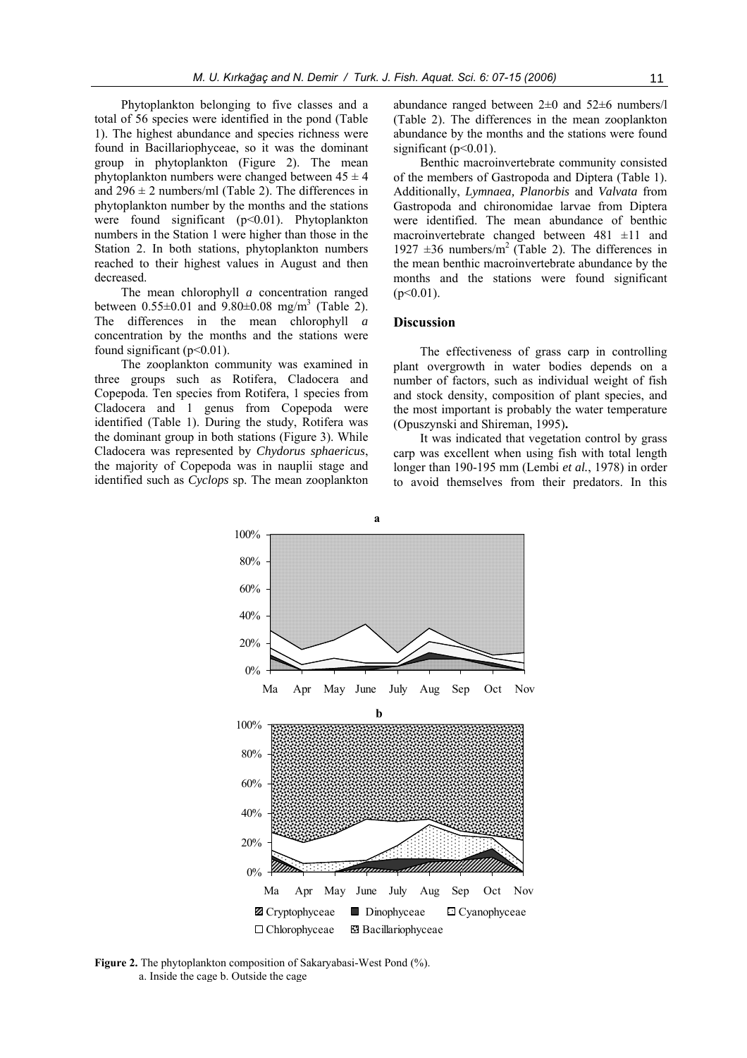Phytoplankton belonging to five classes and a total of 56 species were identified in the pond (Table 1). The highest abundance and species richness were found in Bacillariophyceae, so it was the dominant group in phytoplankton (Figure 2). The mean phytoplankton numbers were changed between  $45 \pm 4$ and  $296 \pm 2$  numbers/ml (Table 2). The differences in phytoplankton number by the months and the stations were found significant (p<0.01). Phytoplankton numbers in the Station 1 were higher than those in the Station 2. In both stations, phytoplankton numbers reached to their highest values in August and then decreased.

The mean chlorophyll *a* concentration ranged between  $0.55 \pm 0.01$  and  $9.80 \pm 0.08$  mg/m<sup>3</sup> (Table 2). The differences in the mean chlorophyll *a*  concentration by the months and the stations were found significant ( $p<0.01$ ).

The zooplankton community was examined in three groups such as Rotifera, Cladocera and Copepoda. Ten species from Rotifera, 1 species from Cladocera and 1 genus from Copepoda were identified (Table 1). During the study, Rotifera was the dominant group in both stations (Figure 3). While Cladocera was represented by *Chydorus sphaericus*, the majority of Copepoda was in nauplii stage and identified such as *Cyclops* sp. The mean zooplankton

abundance ranged between 2±0 and 52±6 numbers/l (Table 2). The differences in the mean zooplankton abundance by the months and the stations were found significant  $(n<0.01)$ .

Benthic macroinvertebrate community consisted of the members of Gastropoda and Diptera (Table 1). Additionally, *Lymnaea, Planorbis* and *Valvata* from Gastropoda and chironomidae larvae from Diptera were identified. The mean abundance of benthic macroinvertebrate changed between  $481 \pm 11$  and 1927  $\pm 36$  numbers/m<sup>2</sup> (Table 2). The differences in the mean benthic macroinvertebrate abundance by the months and the stations were found significant  $(p<0.01)$ .

### **Discussion**

The effectiveness of grass carp in controlling plant overgrowth in water bodies depends on a number of factors, such as individual weight of fish and stock density, composition of plant species, and the most important is probably the water temperature (Opuszynski and Shireman, 1995)**.** 

It was indicated that vegetation control by grass carp was excellent when using fish with total length longer than 190-195 mm (Lembi *et al.*, 1978) in order to avoid themselves from their predators. In this



**Figure 2.** The phytoplankton composition of Sakaryabasi-West Pond (%). a. Inside the cage b. Outside the cage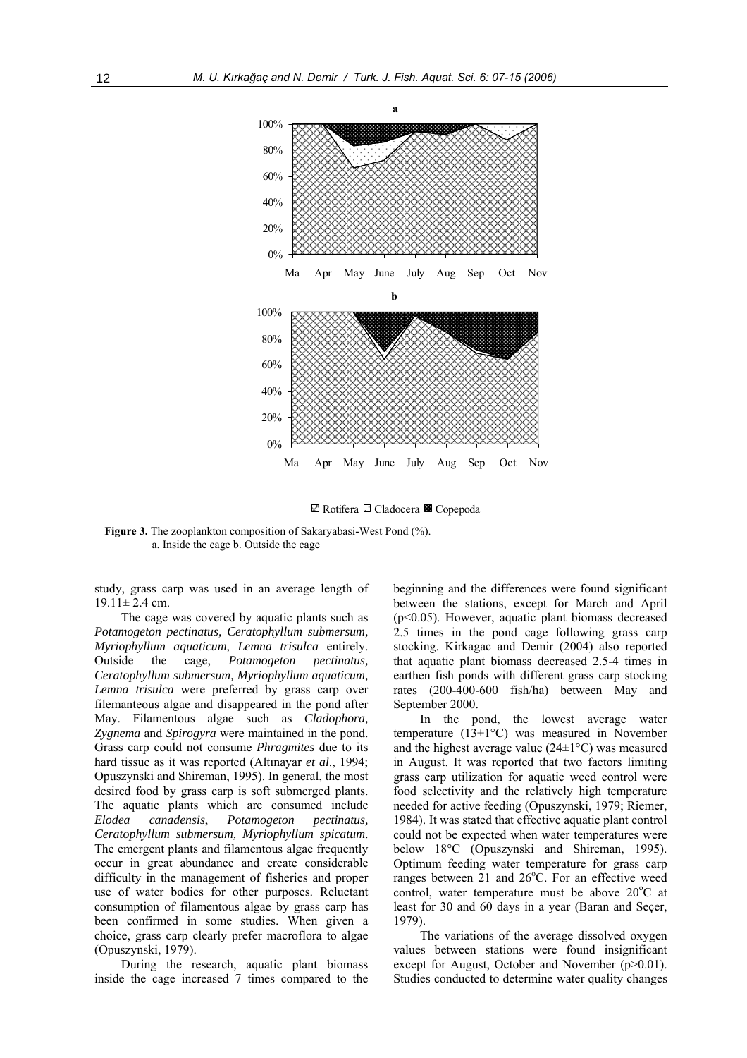

**Z** Rotifera □ Cladocera **E** Copepoda

**Figure 3.** The zooplankton composition of Sakaryabasi-West Pond  $(\%)$ . a. Inside the cage b. Outside the cage

study, grass carp was used in an average length of  $19.11 \pm 2.4$  cm.

The cage was covered by aquatic plants such as *Potamogeton pectinatus, Ceratophyllum submersum, Myriophyllum aquaticum, Lemna trisulca* entirely. Outside the cage, *Potamogeton pectinatus, Ceratophyllum submersum, Myriophyllum aquaticum, Lemna trisulca* were preferred by grass carp over filemanteous algae and disappeared in the pond after May. Filamentous algae such as *Cladophora, Zygnema* and *Spirogyra* were maintained in the pond. Grass carp could not consume *Phragmites* due to its hard tissue as it was reported (Altınayar *et al*., 1994; Opuszynski and Shireman, 1995). In general, the most desired food by grass carp is soft submerged plants. The aquatic plants which are consumed include *Elodea canadensis*, *Potamogeton pectinatus, Ceratophyllum submersum, Myriophyllum spicatum*. The emergent plants and filamentous algae frequently occur in great abundance and create considerable difficulty in the management of fisheries and proper use of water bodies for other purposes. Reluctant consumption of filamentous algae by grass carp has been confirmed in some studies. When given a choice, grass carp clearly prefer macroflora to algae (Opuszynski, 1979).

During the research, aquatic plant biomass inside the cage increased 7 times compared to the beginning and the differences were found significant between the stations, except for March and April (p<0.05). However, aquatic plant biomass decreased 2.5 times in the pond cage following grass carp stocking. Kirkagac and Demir (2004) also reported that aquatic plant biomass decreased 2.5-4 times in earthen fish ponds with different grass carp stocking rates (200-400-600 fish/ha) between May and September 2000.

In the pond, the lowest average water temperature (13±1°C) was measured in November and the highest average value  $(24\pm1\degree C)$  was measured in August. It was reported that two factors limiting grass carp utilization for aquatic weed control were food selectivity and the relatively high temperature needed for active feeding (Opuszynski, 1979; Riemer, 1984). It was stated that effective aquatic plant control could not be expected when water temperatures were below 18°C (Opuszynski and Shireman, 1995). Optimum feeding water temperature for grass carp ranges between 21 and 26°C. For an effective weed control, water temperature must be above 20°C at least for 30 and 60 days in a year (Baran and Seçer, 1979).

The variations of the average dissolved oxygen values between stations were found insignificant except for August, October and November (p>0.01). Studies conducted to determine water quality changes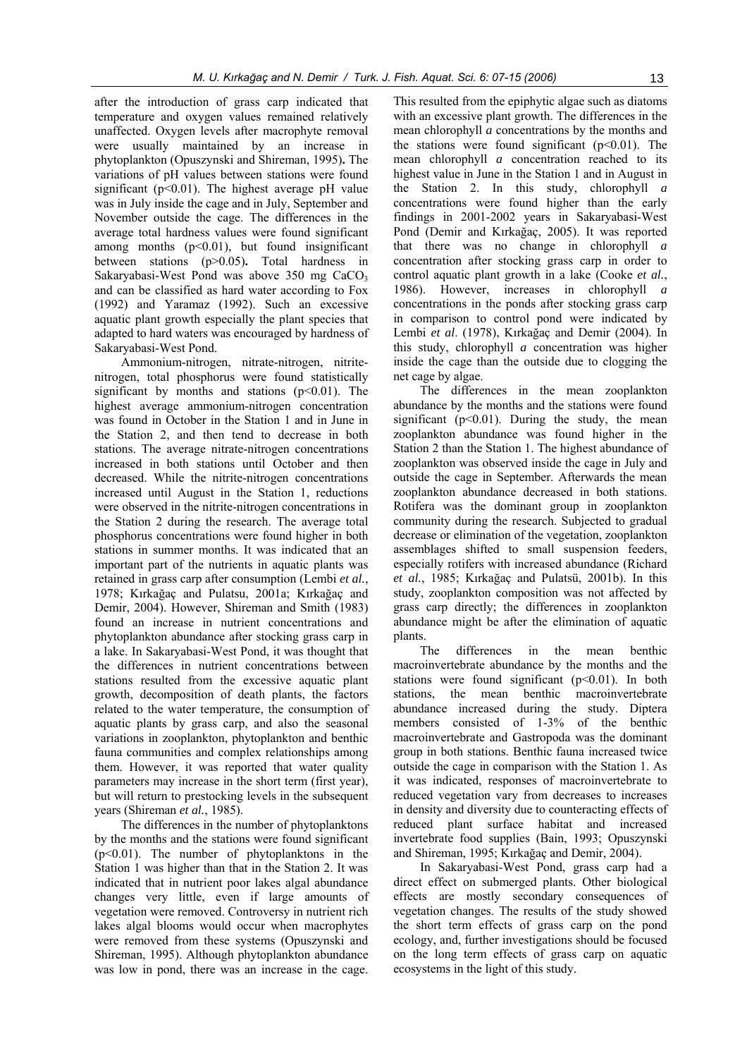after the introduction of grass carp indicated that temperature and oxygen values remained relatively unaffected. Oxygen levels after macrophyte removal were usually maintained by an increase in phytoplankton (Opuszynski and Shireman, 1995)**.** The variations of pH values between stations were found significant ( $p<0.01$ ). The highest average pH value was in July inside the cage and in July, September and November outside the cage. The differences in the average total hardness values were found significant among months  $(p<0.01)$ , but found insignificant between stations (p>0.05)**.** Total hardness in Sakaryabasi-West Pond was above  $350$  mg  $CaCO<sub>3</sub>$ and can be classified as hard water according to Fox (1992) and Yaramaz (1992). Such an excessive aquatic plant growth especially the plant species that adapted to hard waters was encouraged by hardness of Sakaryabasi-West Pond.

Ammonium-nitrogen, nitrate-nitrogen, nitritenitrogen, total phosphorus were found statistically significant by months and stations  $(p<0.01)$ . The highest average ammonium-nitrogen concentration was found in October in the Station 1 and in June in the Station 2, and then tend to decrease in both stations. The average nitrate-nitrogen concentrations increased in both stations until October and then decreased. While the nitrite-nitrogen concentrations increased until August in the Station 1, reductions were observed in the nitrite-nitrogen concentrations in the Station 2 during the research. The average total phosphorus concentrations were found higher in both stations in summer months. It was indicated that an important part of the nutrients in aquatic plants was retained in grass carp after consumption (Lembi *et al.*, 1978; Kırkağaç and Pulatsu, 2001a; Kırkağaç and Demir, 2004). However, Shireman and Smith (1983) found an increase in nutrient concentrations and phytoplankton abundance after stocking grass carp in a lake. In Sakaryabasi-West Pond, it was thought that the differences in nutrient concentrations between stations resulted from the excessive aquatic plant growth, decomposition of death plants, the factors related to the water temperature, the consumption of aquatic plants by grass carp, and also the seasonal variations in zooplankton, phytoplankton and benthic fauna communities and complex relationships among them. However, it was reported that water quality parameters may increase in the short term (first year), but will return to prestocking levels in the subsequent years (Shireman *et al.*, 1985).

The differences in the number of phytoplanktons by the months and the stations were found significant (p<0.01). The number of phytoplanktons in the Station 1 was higher than that in the Station 2. It was indicated that in nutrient poor lakes algal abundance changes very little, even if large amounts of vegetation were removed. Controversy in nutrient rich lakes algal blooms would occur when macrophytes were removed from these systems (Opuszynski and Shireman, 1995). Although phytoplankton abundance was low in pond, there was an increase in the cage.

This resulted from the epiphytic algae such as diatoms with an excessive plant growth. The differences in the mean chlorophyll *a* concentrations by the months and the stations were found significant  $(p<0.01)$ . The mean chlorophyll *a* concentration reached to its highest value in June in the Station 1 and in August in the Station 2. In this study, chlorophyll *a* concentrations were found higher than the early findings in 2001-2002 years in Sakaryabasi-West Pond (Demir and Kırkağaç, 2005). It was reported that there was no change in chlorophyll *a* concentration after stocking grass carp in order to control aquatic plant growth in a lake (Cooke *et al.*, 1986). However, increases in chlorophyll *a* concentrations in the ponds after stocking grass carp in comparison to control pond were indicated by Lembi *et al*. (1978), Kırkağaç and Demir (2004). In this study, chlorophyll *a* concentration was higher inside the cage than the outside due to clogging the net cage by algae.

The differences in the mean zooplankton abundance by the months and the stations were found significant  $(p<0.01)$ . During the study, the mean zooplankton abundance was found higher in the Station 2 than the Station 1. The highest abundance of zooplankton was observed inside the cage in July and outside the cage in September. Afterwards the mean zooplankton abundance decreased in both stations. Rotifera was the dominant group in zooplankton community during the research. Subjected to gradual decrease or elimination of the vegetation, zooplankton assemblages shifted to small suspension feeders, especially rotifers with increased abundance (Richard *et al.*, 1985; Kırkağaç and Pulatsü, 2001b). In this study, zooplankton composition was not affected by grass carp directly; the differences in zooplankton abundance might be after the elimination of aquatic plants.

The differences in the mean benthic macroinvertebrate abundance by the months and the stations were found significant  $(p<0.01)$ . In both stations, the mean benthic macroinvertebrate abundance increased during the study. Diptera members consisted of 1-3% of the benthic macroinvertebrate and Gastropoda was the dominant group in both stations. Benthic fauna increased twice outside the cage in comparison with the Station 1. As it was indicated, responses of macroinvertebrate to reduced vegetation vary from decreases to increases in density and diversity due to counteracting effects of reduced plant surface habitat and increased invertebrate food supplies (Bain, 1993; Opuszynski and Shireman, 1995; Kırkağaç and Demir, 2004).

In Sakaryabasi-West Pond, grass carp had a direct effect on submerged plants. Other biological effects are mostly secondary consequences of vegetation changes. The results of the study showed the short term effects of grass carp on the pond ecology, and, further investigations should be focused on the long term effects of grass carp on aquatic ecosystems in the light of this study.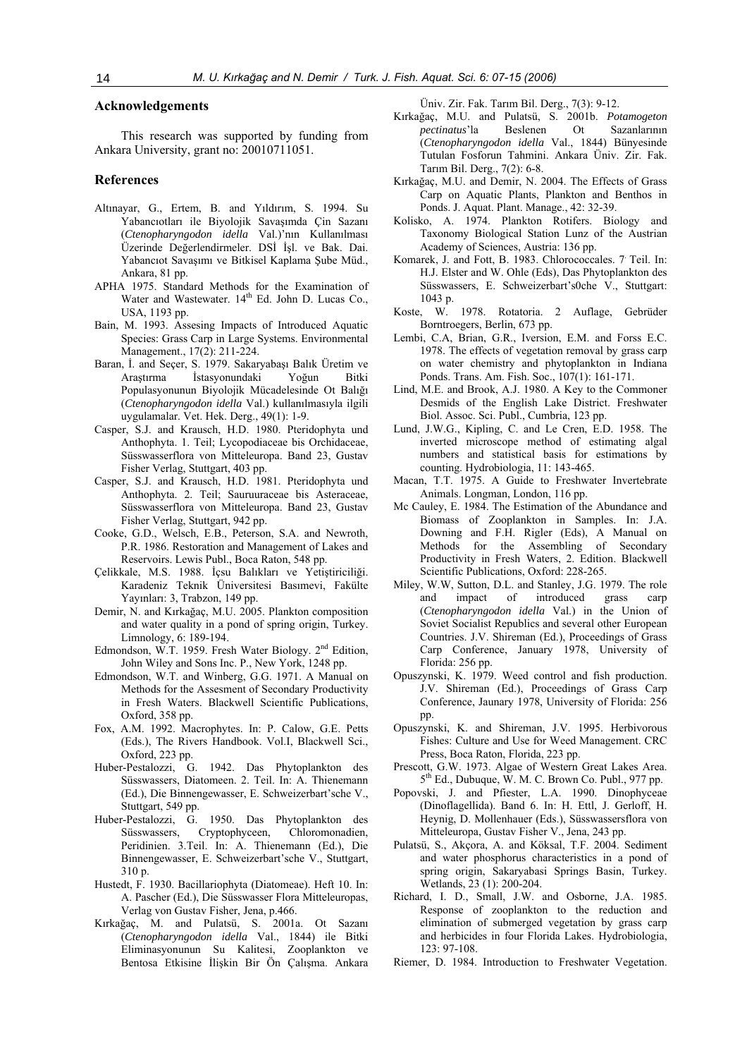#### **Acknowledgements**

This research was supported by funding from Ankara University, grant no: 20010711051.

#### **References**

- Altınayar, G., Ertem, B. and Yıldırım, S. 1994. Su Yabancıotları ile Biyolojik Savaşımda Çin Sazanı (*Ctenopharyngodon idella* Val.)'nın Kullanılması Üzerinde Değerlendirmeler. DSİ İşl. ve Bak. Dai. Yabancıot Savaşımı ve Bitkisel Kaplama Şube Müd., Ankara, 81 pp.
- APHA 1975. Standard Methods for the Examination of Water and Wastewater.  $14<sup>th</sup>$  Ed. John D. Lucas Co., USA, 1193 pp.
- Bain, M. 1993. Assesing Impacts of Introduced Aquatic Species: Grass Carp in Large Systems. Environmental Management., 17(2): 211-224.
- Baran, İ. and Seçer, S. 1979. Sakaryabaşı Balık Üretim ve Araştırma İstasyonundaki Yoğun Bitki Populasyonunun Biyolojik Mücadelesinde Ot Balığı (*Ctenopharyngodon idella* Val.) kullanılmasıyla ilgili uygulamalar. Vet. Hek. Derg., 49(1): 1-9.
- Casper, S.J. and Krausch, H.D. 1980. Pteridophyta und Anthophyta. 1. Teil; Lycopodiaceae bis Orchidaceae, Süsswasserflora von Mitteleuropa. Band 23, Gustav Fisher Verlag, Stuttgart, 403 pp.
- Casper, S.J. and Krausch, H.D. 1981. Pteridophyta und Anthophyta. 2. Teil; Sauruuraceae bis Asteraceae, Süsswasserflora von Mitteleuropa. Band 23, Gustav Fisher Verlag, Stuttgart, 942 pp.
- Cooke, G.D., Welsch, E.B., Peterson, S.A. and Newroth, P.R. 1986. Restoration and Management of Lakes and Reservoirs. Lewis Publ., Boca Raton, 548 pp.
- Çelikkale, M.S. 1988. İçsu Balıkları ve Yetiştiriciliği. Karadeniz Teknik Üniversitesi Basımevi, Fakülte Yayınları: 3, Trabzon, 149 pp.
- Demir, N. and Kırkağaç, M.U. 2005. Plankton composition and water quality in a pond of spring origin, Turkey. Limnology, 6: 189-194.
- Edmondson, W.T. 1959. Fresh Water Biology. 2<sup>nd</sup> Edition, John Wiley and Sons Inc. P., New York, 1248 pp.
- Edmondson, W.T. and Winberg, G.G. 1971. A Manual on Methods for the Assesment of Secondary Productivity in Fresh Waters. Blackwell Scientific Publications, Oxford, 358 pp.
- Fox, A.M. 1992. Macrophytes. In: P. Calow, G.E. Petts (Eds.), The Rivers Handbook. Vol.I, Blackwell Sci., Oxford, 223 pp.
- Huber-Pestalozzi, G. 1942. Das Phytoplankton des Süsswassers, Diatomeen. 2. Teil. In: A. Thienemann (Ed.), Die Binnengewasser, E. Schweizerbart'sche V., Stuttgart, 549 pp.
- Huber-Pestalozzi, G. 1950. Das Phytoplankton des Cryptophyceen, Chloromonadien, Peridinien. 3.Teil. In: A. Thienemann (Ed.), Die Binnengewasser, E. Schweizerbart'sche V., Stuttgart, 310 p.
- Hustedt, F. 1930. Bacillariophyta (Diatomeae). Heft 10. In: A. Pascher (Ed.), Die Süsswasser Flora Mitteleuropas, Verlag von Gustav Fisher, Jena, p.466.
- Kırkağaç, M. and Pulatsü, S. 2001a. Ot Sazanı (*Ctenopharyngodon idella* Val., 1844) ile Bitki Eliminasyonunun Su Kalitesi, Zooplankton ve Bentosa Etkisine İlişkin Bir Ön Çalışma. Ankara

Üniv. Zir. Fak. Tarım Bil. Derg., 7(3): 9-12.

- Kırkağaç, M.U. and Pulatsü, S. 2001b. *Potamogeton pectinatus*'la Beslenen Ot Sazanlarının (*Ctenopharyngodon idella* Val., 1844) Bünyesinde Tutulan Fosforun Tahmini. Ankara Üniv. Zir. Fak. Tarım Bil. Derg., 7(2): 6-8.
- Kırkağaç, M.U. and Demir, N. 2004. The Effects of Grass Carp on Aquatic Plants, Plankton and Benthos in Ponds. J. Aquat. Plant. Manage., 42: 32-39.
- Kolisko, A. 1974. Plankton Rotifers. Biology and Taxonomy Biological Station Lunz of the Austrian Academy of Sciences, Austria: 136 pp.
- Komarek, J. and Fott, B. 1983. Chlorococcales. 7. Teil. In: H.J. Elster and W. Ohle (Eds), Das Phytoplankton des Süsswassers, E. Schweizerbart's0che V., Stuttgart: 1043 p.
- Koste, W. 1978. Rotatoria. 2 Auflage, Gebrüder Borntroegers, Berlin, 673 pp.
- Lembi, C.A, Brian, G.R., Iversion, E.M. and Forss E.C. 1978. The effects of vegetation removal by grass carp on water chemistry and phytoplankton in Indiana Ponds. Trans. Am. Fish. Soc., 107(1): 161-171.
- Lind, M.E. and Brook, A.J. 1980. A Key to the Commoner Desmids of the English Lake District. Freshwater Biol. Assoc. Sci. Publ., Cumbria, 123 pp.
- Lund, J.W.G., Kipling, C. and Le Cren, E.D. 1958. The inverted microscope method of estimating algal numbers and statistical basis for estimations by counting. Hydrobiologia, 11: 143-465.
- Macan, T.T. 1975. A Guide to Freshwater Invertebrate Animals. Longman, London, 116 pp.
- Mc Cauley, E. 1984. The Estimation of the Abundance and Biomass of Zooplankton in Samples. In: J.A. Downing and F.H. Rigler (Eds), A Manual on Methods for the Assembling of Secondary Productivity in Fresh Waters, 2. Edition. Blackwell Scientific Publications, Oxford: 228-265.
- Miley, W.W, Sutton, D.L. and Stanley, J.G. 1979. The role and impact of introduced grass carp (*Ctenopharyngodon idella* Val.) in the Union of Soviet Socialist Republics and several other European Countries. J.V. Shireman (Ed.), Proceedings of Grass Carp Conference, January 1978, University of Florida: 256 pp.
- Opuszynski, K. 1979. Weed control and fish production. J.V. Shireman (Ed.), Proceedings of Grass Carp Conference, Jaunary 1978, University of Florida: 256 pp.
- Opuszynski, K. and Shireman, J.V. 1995. Herbivorous Fishes: Culture and Use for Weed Management. CRC Press, Boca Raton, Florida, 223 pp.
- Prescott, G.W. 1973. Algae of Western Great Lakes Area. 5th Ed., Dubuque, W. M. C. Brown Co. Publ., 977 pp.
- Popovski, J. and Pfiester, L.A. 1990. Dinophyceae (Dinoflagellida). Band 6. In: H. Ettl, J. Gerloff, H. Heynig, D. Mollenhauer (Eds.), Süsswassersflora von Mitteleuropa, Gustav Fisher V., Jena, 243 pp.
- Pulatsü, S., Akçora, A. and Köksal, T.F. 2004. Sediment and water phosphorus characteristics in a pond of spring origin, Sakaryabasi Springs Basin, Turkey. Wetlands, 23 (1): 200-204.
- Richard, I. D., Small, J.W. and Osborne, J.A. 1985. Response of zooplankton to the reduction and elimination of submerged vegetation by grass carp and herbicides in four Florida Lakes. Hydrobiologia, 123: 97-108.
- Riemer, D. 1984. Introduction to Freshwater Vegetation.